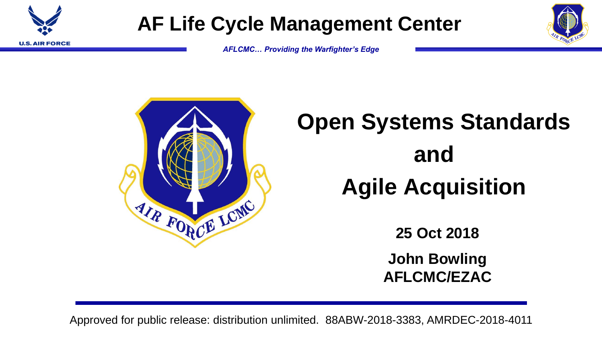

### **AF Life Cycle Management Center**

*AFLCMC… Providing the Warfighter's Edge*



# **Open Systems Standards and Agile Acquisition**

**25 Oct 2018**

**John Bowling AFLCMC/EZAC**

Approved for public release: distribution unlimited. 88ABW-2018-3383, AMRDEC-2018-4011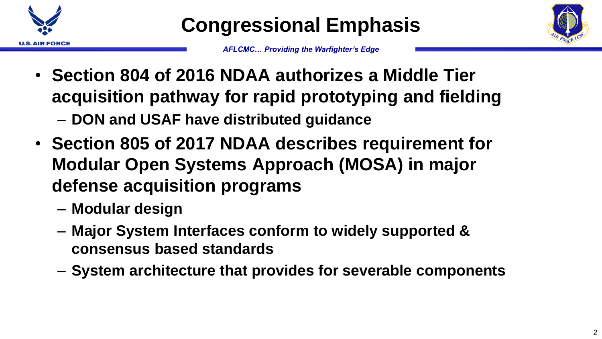

**Congressional Emphasis**



- **Section 804 of 2016 NDAA authorizes a Middle Tier acquisition pathway for rapid prototyping and fielding** – **DON and USAF have distributed guidance**
- **Section 805 of 2017 NDAA describes requirement for Modular Open Systems Approach (MOSA) in major defense acquisition programs**
	- **Modular design**
	- **Major System Interfaces conform to widely supported & consensus based standards**
	- **System architecture that provides for severable components**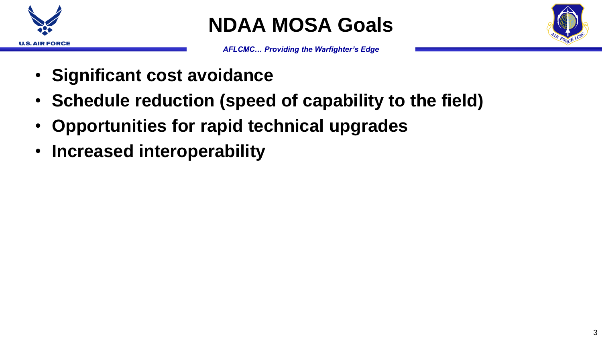

**NDAA MOSA Goals**



- **Significant cost avoidance**
- **Schedule reduction (speed of capability to the field)**
- **Opportunities for rapid technical upgrades**
- **Increased interoperability**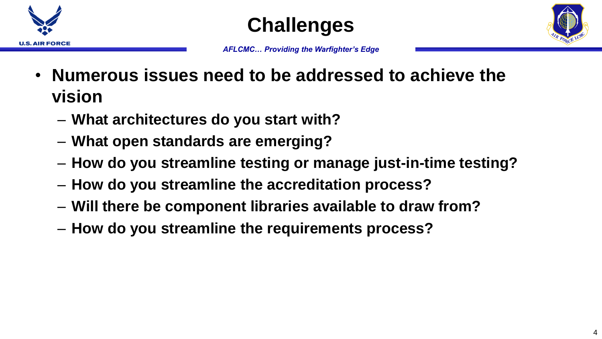





- **Numerous issues need to be addressed to achieve the vision**
	- **What architectures do you start with?**
	- **What open standards are emerging?**
	- **How do you streamline testing or manage just-in-time testing?**
	- **How do you streamline the accreditation process?**
	- **Will there be component libraries available to draw from?**
	- **How do you streamline the requirements process?**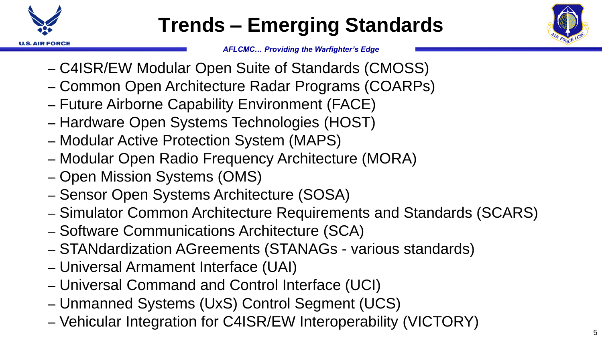

## **Trends – Emerging Standards**



- C4ISR/EW Modular Open Suite of Standards (CMOSS)
- Common Open Architecture Radar Programs (COARPs)
- Future Airborne Capability Environment (FACE)
- Hardware Open Systems Technologies (HOST)
- Modular Active Protection System (MAPS)
- Modular Open Radio Frequency Architecture (MORA)
- Open Mission Systems (OMS)
- Sensor Open Systems Architecture (SOSA)
- Simulator Common Architecture Requirements and Standards (SCARS)
- Software Communications Architecture (SCA)
- STANdardization AGreements (STANAGs various standards)
- Universal Armament Interface (UAI)
- Universal Command and Control Interface (UCI)
- Unmanned Systems (UxS) Control Segment (UCS)
- Vehicular Integration for C4ISR/EW Interoperability (VICTORY)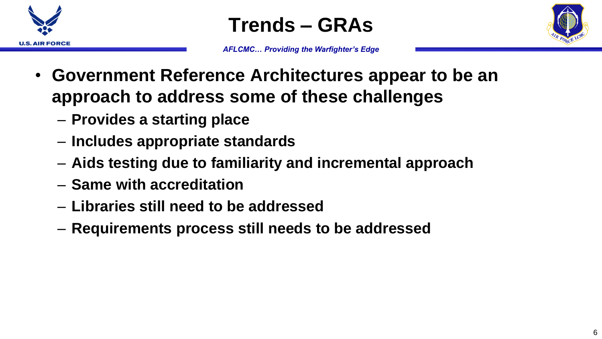

**Trends – GRAs**



- **Government Reference Architectures appear to be an approach to address some of these challenges**
	- **Provides a starting place**
	- **Includes appropriate standards**
	- **Aids testing due to familiarity and incremental approach**
	- **Same with accreditation**
	- **Libraries still need to be addressed**
	- **Requirements process still needs to be addressed**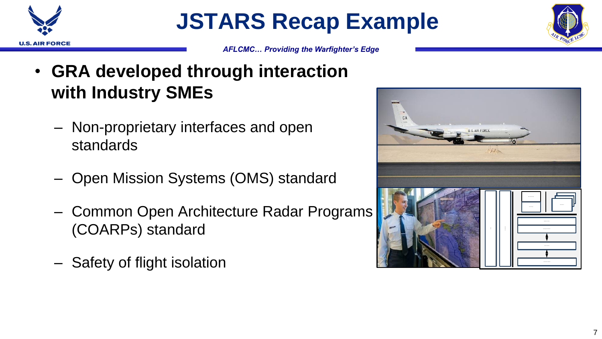

**JSTARS Recap Example**



- **GRA developed through interaction with Industry SMEs**
	- Non-proprietary interfaces and open standards
	- Open Mission Systems (OMS) standard
	- Common Open Architecture Radar Programs (COARPs) standard
	- Safety of flight isolation

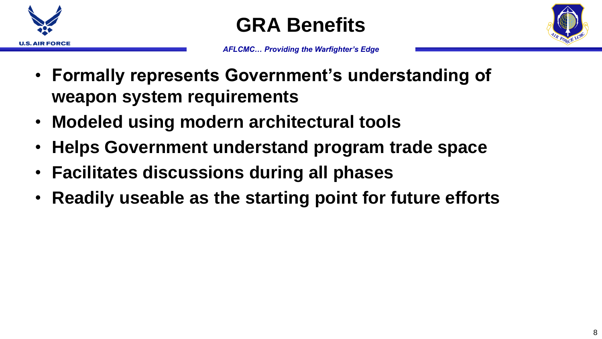



- **Formally represents Government's understanding of weapon system requirements**
- **Modeled using modern architectural tools**
- **Helps Government understand program trade space**
- **Facilitates discussions during all phases**
- **Readily useable as the starting point for future efforts**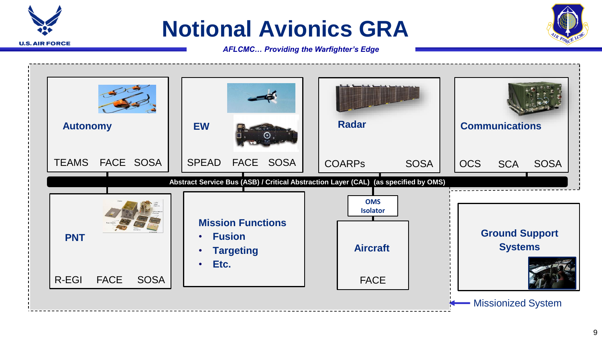### **Notional Avionics GRA**

**U.S. AIR FORCE** 



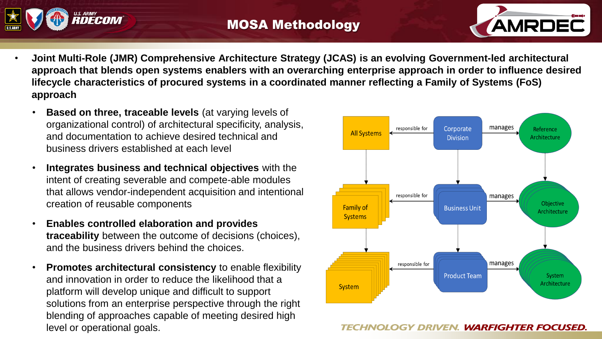



- **Joint Multi-Role (JMR) Comprehensive Architecture Strategy (JCAS) is an evolving Government-led architectural approach that blends open systems enablers with an overarching enterprise approach in order to influence desired lifecycle characteristics of procured systems in a coordinated manner reflecting a Family of Systems (FoS) approach**
	- **Based on three, traceable levels** (at varying levels of organizational control) of architectural specificity, analysis, and documentation to achieve desired technical and business drivers established at each level
	- **Integrates business and technical objectives** with the intent of creating severable and compete-able modules that allows vendor-independent acquisition and intentional creation of reusable components
	- **Enables controlled elaboration and provides traceability** between the outcome of decisions (choices), and the business drivers behind the choices.
	- **Promotes architectural consistency** to enable flexibility and innovation in order to reduce the likelihood that a platform will develop unique and difficult to support solutions from an enterprise perspective through the right blending of approaches capable of meeting desired high level or operational goals.



#### TECHNOLOGY DRIVEN. WARFIGHTER FOCUSED.